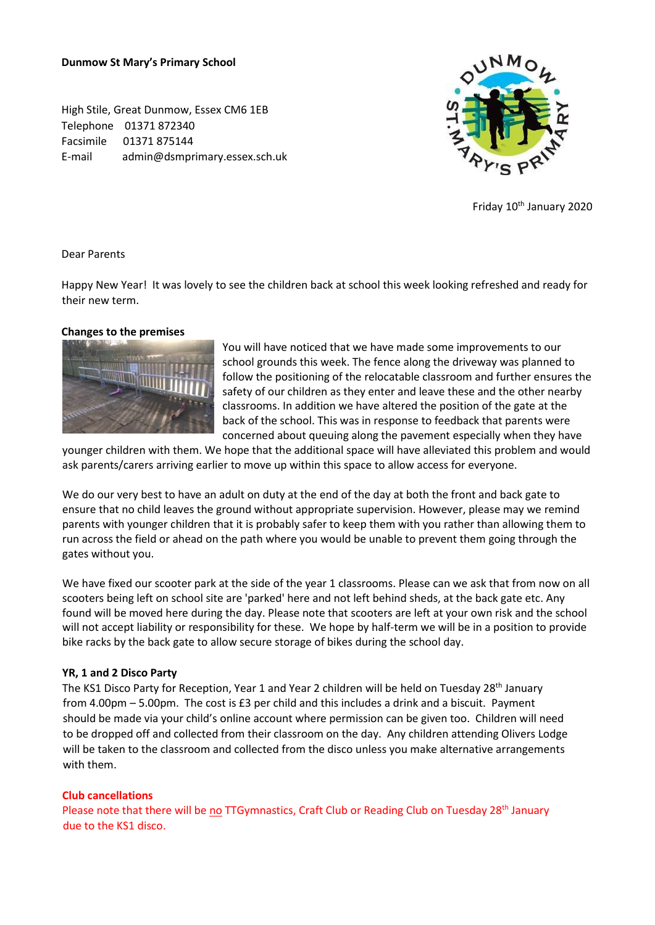#### **Dunmow St Mary's Primary School**

High Stile, Great Dunmow, Essex CM6 1EB Telephone 01371 872340 Facsimile 01371 875144 E-mail admin@dsmprimary.essex.sch.uk



Friday 10<sup>th</sup> January 2020

#### Dear Parents

Happy New Year! It was lovely to see the children back at school this week looking refreshed and ready for their new term.

#### **Changes to the premises**



You will have noticed that we have made some improvements to our school grounds this week. The fence along the driveway was planned to follow the positioning of the relocatable classroom and further ensures the safety of our children as they enter and leave these and the other nearby classrooms. In addition we have altered the position of the gate at the back of the school. This was in response to feedback that parents were concerned about queuing along the pavement especially when they have

younger children with them. We hope that the additional space will have alleviated this problem and would ask parents/carers arriving earlier to move up within this space to allow access for everyone.

We do our very best to have an adult on duty at the end of the day at both the front and back gate to ensure that no child leaves the ground without appropriate supervision. However, please may we remind parents with younger children that it is probably safer to keep them with you rather than allowing them to run across the field or ahead on the path where you would be unable to prevent them going through the gates without you.

We have fixed our scooter park at the side of the year 1 classrooms. Please can we ask that from now on all scooters being left on school site are 'parked' here and not left behind sheds, at the back gate etc. Any found will be moved here during the day. Please note that scooters are left at your own risk and the school will not accept liability or responsibility for these. We hope by half-term we will be in a position to provide bike racks by the back gate to allow secure storage of bikes during the school day.

#### **YR, 1 and 2 Disco Party**

The KS1 Disco Party for Reception, Year 1 and Year 2 children will be held on Tuesday 28<sup>th</sup> January from 4.00pm – 5.00pm. The cost is £3 per child and this includes a drink and a biscuit. Payment should be made via your child's online account where permission can be given too. Children will need to be dropped off and collected from their classroom on the day. Any children attending Olivers Lodge will be taken to the classroom and collected from the disco unless you make alternative arrangements with them.

### **Club cancellations**

Please note that there will be no TTGymnastics, Craft Club or Reading Club on Tuesday 28<sup>th</sup> January due to the KS1 disco.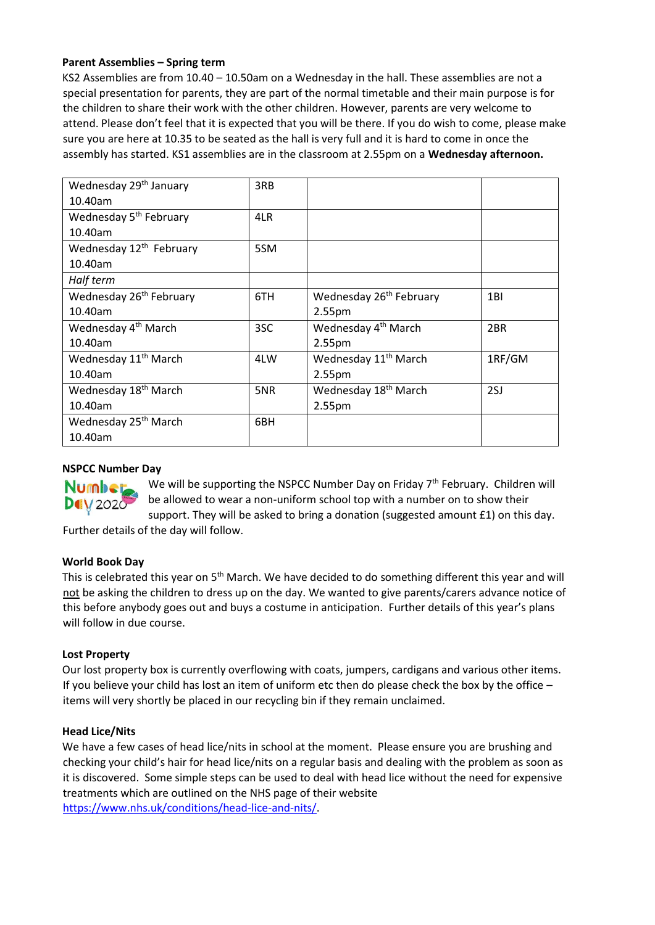# **Parent Assemblies – Spring term**

KS2 Assemblies are from 10.40 – 10.50am on a Wednesday in the hall. These assemblies are not a special presentation for parents, they are part of the normal timetable and their main purpose is for the children to share their work with the other children. However, parents are very welcome to attend. Please don't feel that it is expected that you will be there. If you do wish to come, please make sure you are here at 10.35 to be seated as the hall is very full and it is hard to come in once the assembly has started. KS1 assemblies are in the classroom at 2.55pm on a **Wednesday afternoon.**

| Wednesday 29 <sup>th</sup> January  | 3RB |                                     |                 |
|-------------------------------------|-----|-------------------------------------|-----------------|
| 10.40am                             |     |                                     |                 |
| Wednesday 5 <sup>th</sup> February  | 4LR |                                     |                 |
| 10.40am                             |     |                                     |                 |
| Wednesday 12 <sup>th</sup> February | 5SM |                                     |                 |
| 10.40am                             |     |                                     |                 |
| Half term                           |     |                                     |                 |
| Wednesday 26 <sup>th</sup> February | 6TH | Wednesday 26 <sup>th</sup> February | 1BI             |
| 10.40am                             |     | 2.55 <sub>pm</sub>                  |                 |
| Wednesday 4 <sup>th</sup> March     | 3SC | Wednesday 4 <sup>th</sup> March     | 2 <sub>BR</sub> |
| 10.40am                             |     | 2.55 <sub>pm</sub>                  |                 |
| Wednesday 11 <sup>th</sup> March    | 4LW | Wednesday 11 <sup>th</sup> March    | 1RF/GM          |
| 10.40am                             |     | 2.55 <sub>pm</sub>                  |                 |
| Wednesday 18 <sup>th</sup> March    | 5NR | Wednesday 18 <sup>th</sup> March    | 2SJ             |
| 10.40am                             |     | 2.55 <sub>pm</sub>                  |                 |
| Wednesday 25 <sup>th</sup> March    | 6BH |                                     |                 |
| 10.40am                             |     |                                     |                 |

# **NSPCC Number Day**



We will be supporting the NSPCC Number Day on Friday 7<sup>th</sup> February. Children will be allowed to wear a non-uniform school top with a number on to show their support. They will be asked to bring a donation (suggested amount £1) on this day.

Further details of the day will follow.

### **World Book Day**

This is celebrated this year on 5<sup>th</sup> March. We have decided to do something different this year and will not be asking the children to dress up on the day. We wanted to give parents/carers advance notice of this before anybody goes out and buys a costume in anticipation. Further details of this year's plans will follow in due course.

### **Lost Property**

Our lost property box is currently overflowing with coats, jumpers, cardigans and various other items. If you believe your child has lost an item of uniform etc then do please check the box by the office – items will very shortly be placed in our recycling bin if they remain unclaimed.

### **Head Lice/Nits**

We have a few cases of head lice/nits in school at the moment. Please ensure you are brushing and checking your child's hair for head lice/nits on a regular basis and dealing with the problem as soon as it is discovered. Some simple steps can be used to deal with head lice without the need for expensive treatments which are outlined on the NHS page of their website [https://www.nhs.uk/conditions/head-lice-and-nits/.](https://www.nhs.uk/conditions/head-lice-and-nits/)